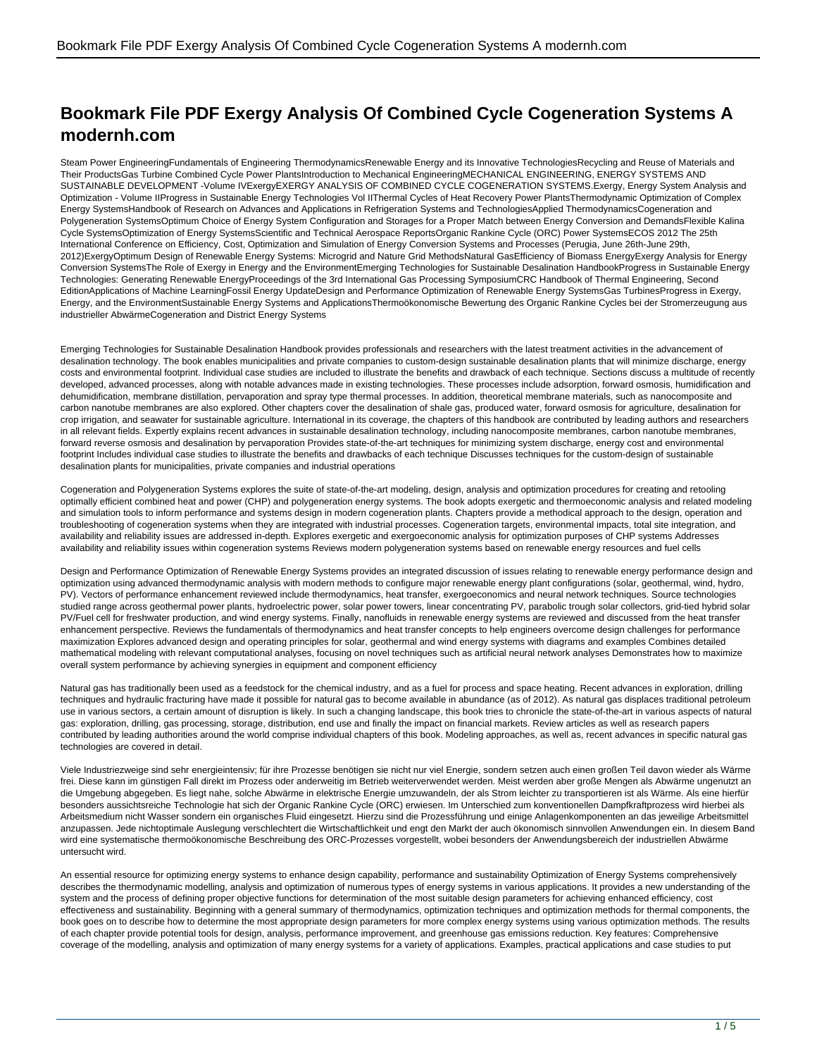## **Bookmark File PDF Exergy Analysis Of Combined Cycle Cogeneration Systems A modernh.com**

Steam Power EngineeringFundamentals of Engineering ThermodynamicsRenewable Energy and its Innovative TechnologiesRecycling and Reuse of Materials and Their ProductsGas Turbine Combined Cycle Power PlantsIntroduction to Mechanical EngineeringMECHANICAL ENGINEERING, ENERGY SYSTEMS AND SUSTAINABLE DEVELOPMENT -Volume IVExergyEXERGY ANALYSIS OF COMBINED CYCLE COGENERATION SYSTEMS.Exergy, Energy System Analysis and Optimization - Volume IIProgress in Sustainable Energy Technologies Vol IIThermal Cycles of Heat Recovery Power PlantsThermodynamic Optimization of Complex Energy SystemsHandbook of Research on Advances and Applications in Refrigeration Systems and TechnologiesApplied ThermodynamicsCogeneration and Polygeneration SystemsOptimum Choice of Energy System Configuration and Storages for a Proper Match between Energy Conversion and DemandsFlexible Kalina Cycle SystemsOptimization of Energy SystemsScientific and Technical Aerospace ReportsOrganic Rankine Cycle (ORC) Power SystemsECOS 2012 The 25th International Conference on Efficiency, Cost, Optimization and Simulation of Energy Conversion Systems and Processes (Perugia, June 26th-June 29th, 2012)ExergyOptimum Design of Renewable Energy Systems: Microgrid and Nature Grid MethodsNatural GasEfficiency of Biomass EnergyExergy Analysis for Energy Conversion SystemsThe Role of Exergy in Energy and the EnvironmentEmerging Technologies for Sustainable Desalination HandbookProgress in Sustainable Energy Technologies: Generating Renewable EnergyProceedings of the 3rd International Gas Processing SymposiumCRC Handbook of Thermal Engineering, Second EditionApplications of Machine LearningFossil Energy UpdateDesign and Performance Optimization of Renewable Energy SystemsGas TurbinesProgress in Exergy, Energy, and the EnvironmentSustainable Energy Systems and ApplicationsThermoökonomische Bewertung des Organic Rankine Cycles bei der Stromerzeugung aus industrieller AbwärmeCogeneration and District Energy Systems

Emerging Technologies for Sustainable Desalination Handbook provides professionals and researchers with the latest treatment activities in the advancement of desalination technology. The book enables municipalities and private companies to custom-design sustainable desalination plants that will minimize discharge, energy costs and environmental footprint. Individual case studies are included to illustrate the benefits and drawback of each technique. Sections discuss a multitude of recently developed, advanced processes, along with notable advances made in existing technologies. These processes include adsorption, forward osmosis, humidification and dehumidification, membrane distillation, pervaporation and spray type thermal processes. In addition, theoretical membrane materials, such as nanocomposite and carbon nanotube membranes are also explored. Other chapters cover the desalination of shale gas, produced water, forward osmosis for agriculture, desalination for crop irrigation, and seawater for sustainable agriculture. International in its coverage, the chapters of this handbook are contributed by leading authors and researchers in all relevant fields. Expertly explains recent advances in sustainable desalination technology, including nanocomposite membranes, carbon nanotube membranes, forward reverse osmosis and desalination by pervaporation Provides state-of-the-art techniques for minimizing system discharge, energy cost and environmental footprint Includes individual case studies to illustrate the benefits and drawbacks of each technique Discusses techniques for the custom-design of sustainable desalination plants for municipalities, private companies and industrial operations

Cogeneration and Polygeneration Systems explores the suite of state-of-the-art modeling, design, analysis and optimization procedures for creating and retooling optimally efficient combined heat and power (CHP) and polygeneration energy systems. The book adopts exergetic and thermoeconomic analysis and related modeling and simulation tools to inform performance and systems design in modern cogeneration plants. Chapters provide a methodical approach to the design, operation and troubleshooting of cogeneration systems when they are integrated with industrial processes. Cogeneration targets, environmental impacts, total site integration, and availability and reliability issues are addressed in-depth. Explores exergetic and exergoeconomic analysis for optimization purposes of CHP systems Addresses availability and reliability issues within cogeneration systems Reviews modern polygeneration systems based on renewable energy resources and fuel cells

Design and Performance Optimization of Renewable Energy Systems provides an integrated discussion of issues relating to renewable energy performance design and optimization using advanced thermodynamic analysis with modern methods to configure major renewable energy plant configurations (solar, geothermal, wind, hydro, PV). Vectors of performance enhancement reviewed include thermodynamics, heat transfer, exergoeconomics and neural network techniques. Source technologies studied range across geothermal power plants, hydroelectric power, solar power towers, linear concentrating PV, parabolic trough solar collectors, grid-tied hybrid solar PV/Fuel cell for freshwater production, and wind energy systems. Finally, nanofluids in renewable energy systems are reviewed and discussed from the heat transfer enhancement perspective. Reviews the fundamentals of thermodynamics and heat transfer concepts to help engineers overcome design challenges for performance maximization Explores advanced design and operating principles for solar, geothermal and wind energy systems with diagrams and examples Combines detailed mathematical modeling with relevant computational analyses, focusing on novel techniques such as artificial neural network analyses Demonstrates how to maximize overall system performance by achieving synergies in equipment and component efficiency

Natural gas has traditionally been used as a feedstock for the chemical industry, and as a fuel for process and space heating. Recent advances in exploration, drilling techniques and hydraulic fracturing have made it possible for natural gas to become available in abundance (as of 2012). As natural gas displaces traditional petroleum use in various sectors, a certain amount of disruption is likely. In such a changing landscape, this book tries to chronicle the state-of-the-art in various aspects of natural gas: exploration, drilling, gas processing, storage, distribution, end use and finally the impact on financial markets. Review articles as well as research papers contributed by leading authorities around the world comprise individual chapters of this book. Modeling approaches, as well as, recent advances in specific natural gas technologies are covered in detail.

Viele Industriezweige sind sehr energieintensiv; für ihre Prozesse benötigen sie nicht nur viel Energie, sondern setzen auch einen großen Teil davon wieder als Wärme frei. Diese kann im günstigen Fall direkt im Prozess oder anderweitig im Betrieb weiterverwendet werden. Meist werden aber große Mengen als Abwärme ungenutzt an die Umgebung abgegeben. Es liegt nahe, solche Abwärme in elektrische Energie umzuwandeln, der als Strom leichter zu transportieren ist als Wärme. Als eine hierfür besonders aussichtsreiche Technologie hat sich der Organic Rankine Cycle (ORC) erwiesen. Im Unterschied zum konventionellen Dampfkraftprozess wird hierbei als Arbeitsmedium nicht Wasser sondern ein organisches Fluid eingesetzt. Hierzu sind die Prozessführung und einige Anlagenkomponenten an das jeweilige Arbeitsmittel anzupassen. Jede nichtoptimale Auslegung verschlechtert die Wirtschaftlichkeit und engt den Markt der auch ökonomisch sinnvollen Anwendungen ein. In diesem Band wird eine systematische thermoökonomische Beschreibung des ORC-Prozesses vorgestellt, wobei besonders der Anwendungsbereich der industriellen Abwärme untersucht wird.

An essential resource for optimizing energy systems to enhance design capability, performance and sustainability Optimization of Energy Systems comprehensively describes the thermodynamic modelling, analysis and optimization of numerous types of energy systems in various applications. It provides a new understanding of the system and the process of defining proper objective functions for determination of the most suitable design parameters for achieving enhanced efficiency, cost effectiveness and sustainability. Beginning with a general summary of thermodynamics, optimization techniques and optimization methods for thermal components, the book goes on to describe how to determine the most appropriate design parameters for more complex energy systems using various optimization methods. The results of each chapter provide potential tools for design, analysis, performance improvement, and greenhouse gas emissions reduction. Key features: Comprehensive coverage of the modelling, analysis and optimization of many energy systems for a variety of applications. Examples, practical applications and case studies to put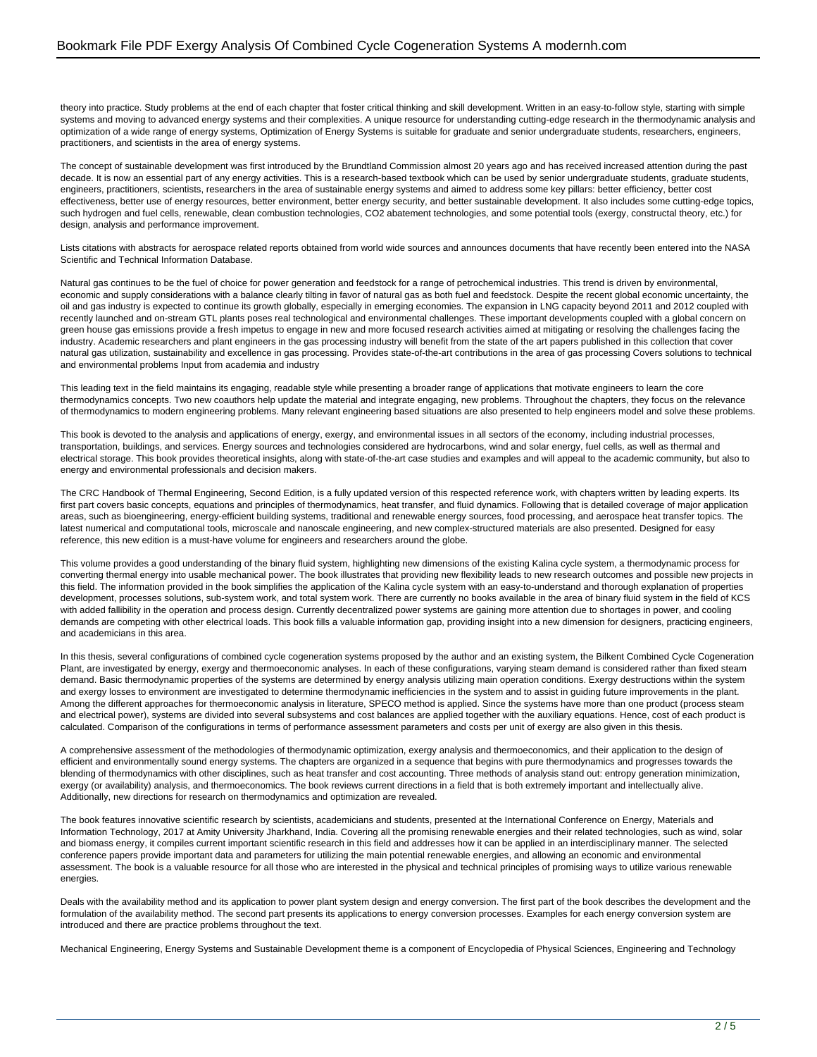theory into practice. Study problems at the end of each chapter that foster critical thinking and skill development. Written in an easy-to-follow style, starting with simple systems and moving to advanced energy systems and their complexities. A unique resource for understanding cutting-edge research in the thermodynamic analysis and optimization of a wide range of energy systems, Optimization of Energy Systems is suitable for graduate and senior undergraduate students, researchers, engineers, practitioners, and scientists in the area of energy systems.

The concept of sustainable development was first introduced by the Brundtland Commission almost 20 years ago and has received increased attention during the past decade. It is now an essential part of any energy activities. This is a research-based textbook which can be used by senior undergraduate students, graduate students, engineers, practitioners, scientists, researchers in the area of sustainable energy systems and aimed to address some key pillars: better efficiency, better cost effectiveness, better use of energy resources, better environment, better energy security, and better sustainable development. It also includes some cutting-edge topics, such hydrogen and fuel cells, renewable, clean combustion technologies, CO2 abatement technologies, and some potential tools (exergy, constructal theory, etc.) for design, analysis and performance improvement.

Lists citations with abstracts for aerospace related reports obtained from world wide sources and announces documents that have recently been entered into the NASA Scientific and Technical Information Database.

Natural gas continues to be the fuel of choice for power generation and feedstock for a range of petrochemical industries. This trend is driven by environmental, economic and supply considerations with a balance clearly tilting in favor of natural gas as both fuel and feedstock. Despite the recent global economic uncertainty, the oil and gas industry is expected to continue its growth globally, especially in emerging economies. The expansion in LNG capacity beyond 2011 and 2012 coupled with recently launched and on-stream GTL plants poses real technological and environmental challenges. These important developments coupled with a global concern on green house gas emissions provide a fresh impetus to engage in new and more focused research activities aimed at mitigating or resolving the challenges facing the industry. Academic researchers and plant engineers in the gas processing industry will benefit from the state of the art papers published in this collection that cover natural gas utilization, sustainability and excellence in gas processing. Provides state-of-the-art contributions in the area of gas processing Covers solutions to technical and environmental problems Input from academia and industry

This leading text in the field maintains its engaging, readable style while presenting a broader range of applications that motivate engineers to learn the core thermodynamics concepts. Two new coauthors help update the material and integrate engaging, new problems. Throughout the chapters, they focus on the relevance of thermodynamics to modern engineering problems. Many relevant engineering based situations are also presented to help engineers model and solve these problems.

This book is devoted to the analysis and applications of energy, exergy, and environmental issues in all sectors of the economy, including industrial processes, transportation, buildings, and services. Energy sources and technologies considered are hydrocarbons, wind and solar energy, fuel cells, as well as thermal and electrical storage. This book provides theoretical insights, along with state-of-the-art case studies and examples and will appeal to the academic community, but also to energy and environmental professionals and decision makers.

The CRC Handbook of Thermal Engineering, Second Edition, is a fully updated version of this respected reference work, with chapters written by leading experts. Its first part covers basic concepts, equations and principles of thermodynamics, heat transfer, and fluid dynamics. Following that is detailed coverage of major application areas, such as bioengineering, energy-efficient building systems, traditional and renewable energy sources, food processing, and aerospace heat transfer topics. The latest numerical and computational tools, microscale and nanoscale engineering, and new complex-structured materials are also presented. Designed for easy reference, this new edition is a must-have volume for engineers and researchers around the globe.

This volume provides a good understanding of the binary fluid system, highlighting new dimensions of the existing Kalina cycle system, a thermodynamic process for converting thermal energy into usable mechanical power. The book illustrates that providing new flexibility leads to new research outcomes and possible new projects in this field. The information provided in the book simplifies the application of the Kalina cycle system with an easy-to-understand and thorough explanation of properties development, processes solutions, sub-system work, and total system work. There are currently no books available in the area of binary fluid system in the field of KCS with added fallibility in the operation and process design. Currently decentralized power systems are gaining more attention due to shortages in power, and cooling demands are competing with other electrical loads. This book fills a valuable information gap, providing insight into a new dimension for designers, practicing engineers, and academicians in this area.

In this thesis, several configurations of combined cycle cogeneration systems proposed by the author and an existing system, the Bilkent Combined Cycle Cogeneration Plant, are investigated by energy, exergy and thermoeconomic analyses. In each of these configurations, varying steam demand is considered rather than fixed steam demand. Basic thermodynamic properties of the systems are determined by energy analysis utilizing main operation conditions. Exergy destructions within the system and exergy losses to environment are investigated to determine thermodynamic inefficiencies in the system and to assist in guiding future improvements in the plant. Among the different approaches for thermoeconomic analysis in literature, SPECO method is applied. Since the systems have more than one product (process steam and electrical power), systems are divided into several subsystems and cost balances are applied together with the auxiliary equations. Hence, cost of each product is calculated. Comparison of the configurations in terms of performance assessment parameters and costs per unit of exergy are also given in this thesis.

A comprehensive assessment of the methodologies of thermodynamic optimization, exergy analysis and thermoeconomics, and their application to the design of efficient and environmentally sound energy systems. The chapters are organized in a sequence that begins with pure thermodynamics and progresses towards the blending of thermodynamics with other disciplines, such as heat transfer and cost accounting. Three methods of analysis stand out: entropy generation minimization, exergy (or availability) analysis, and thermoeconomics. The book reviews current directions in a field that is both extremely important and intellectually alive. Additionally, new directions for research on thermodynamics and optimization are revealed.

The book features innovative scientific research by scientists, academicians and students, presented at the International Conference on Energy, Materials and Information Technology, 2017 at Amity University Jharkhand, India. Covering all the promising renewable energies and their related technologies, such as wind, solar and biomass energy, it compiles current important scientific research in this field and addresses how it can be applied in an interdisciplinary manner. The selected conference papers provide important data and parameters for utilizing the main potential renewable energies, and allowing an economic and environmental assessment. The book is a valuable resource for all those who are interested in the physical and technical principles of promising ways to utilize various renewable energies.

Deals with the availability method and its application to power plant system design and energy conversion. The first part of the book describes the development and the formulation of the availability method. The second part presents its applications to energy conversion processes. Examples for each energy conversion system are introduced and there are practice problems throughout the text.

Mechanical Engineering, Energy Systems and Sustainable Development theme is a component of Encyclopedia of Physical Sciences, Engineering and Technology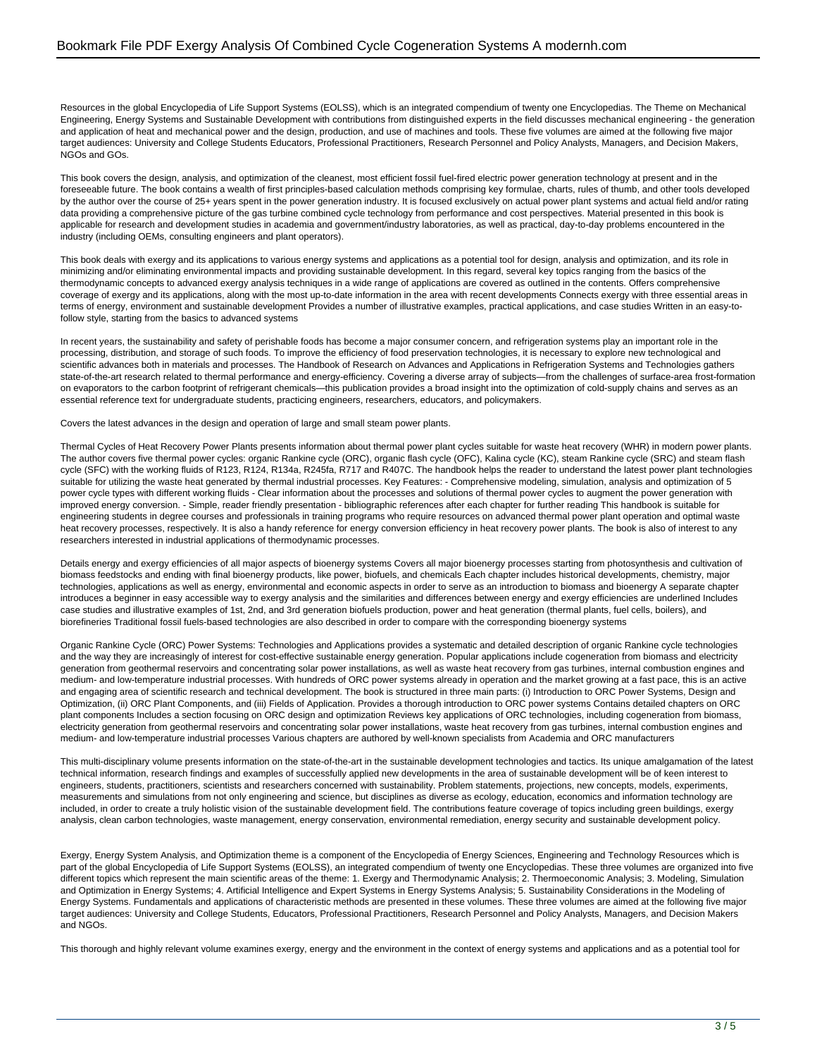Resources in the global Encyclopedia of Life Support Systems (EOLSS), which is an integrated compendium of twenty one Encyclopedias. The Theme on Mechanical Engineering, Energy Systems and Sustainable Development with contributions from distinguished experts in the field discusses mechanical engineering - the generation and application of heat and mechanical power and the design, production, and use of machines and tools. These five volumes are aimed at the following five major target audiences: University and College Students Educators, Professional Practitioners, Research Personnel and Policy Analysts, Managers, and Decision Makers, NGOs and GOs.

This book covers the design, analysis, and optimization of the cleanest, most efficient fossil fuel-fired electric power generation technology at present and in the foreseeable future. The book contains a wealth of first principles-based calculation methods comprising key formulae, charts, rules of thumb, and other tools developed by the author over the course of 25+ years spent in the power generation industry. It is focused exclusively on actual power plant systems and actual field and/or rating data providing a comprehensive picture of the gas turbine combined cycle technology from performance and cost perspectives. Material presented in this book is applicable for research and development studies in academia and government/industry laboratories, as well as practical, day-to-day problems encountered in the industry (including OEMs, consulting engineers and plant operators).

This book deals with exergy and its applications to various energy systems and applications as a potential tool for design, analysis and optimization, and its role in minimizing and/or eliminating environmental impacts and providing sustainable development. In this regard, several key topics ranging from the basics of the thermodynamic concepts to advanced exergy analysis techniques in a wide range of applications are covered as outlined in the contents. Offers comprehensive coverage of exergy and its applications, along with the most up-to-date information in the area with recent developments Connects exergy with three essential areas in terms of energy, environment and sustainable development Provides a number of illustrative examples, practical applications, and case studies Written in an easy-tofollow style, starting from the basics to advanced systems

In recent years, the sustainability and safety of perishable foods has become a major consumer concern, and refrigeration systems play an important role in the processing, distribution, and storage of such foods. To improve the efficiency of food preservation technologies, it is necessary to explore new technological and scientific advances both in materials and processes. The Handbook of Research on Advances and Applications in Refrigeration Systems and Technologies gathers state-of-the-art research related to thermal performance and energy-efficiency. Covering a diverse array of subjects—from the challenges of surface-area frost-formation on evaporators to the carbon footprint of refrigerant chemicals—this publication provides a broad insight into the optimization of cold-supply chains and serves as an essential reference text for undergraduate students, practicing engineers, researchers, educators, and policymakers.

Covers the latest advances in the design and operation of large and small steam power plants.

Thermal Cycles of Heat Recovery Power Plants presents information about thermal power plant cycles suitable for waste heat recovery (WHR) in modern power plants. The author covers five thermal power cycles: organic Rankine cycle (ORC), organic flash cycle (OFC), Kalina cycle (KC), steam Rankine cycle (SRC) and steam flash cycle (SFC) with the working fluids of R123, R124, R134a, R245fa, R717 and R407C. The handbook helps the reader to understand the latest power plant technologies suitable for utilizing the waste heat generated by thermal industrial processes. Key Features: - Comprehensive modeling, simulation, analysis and optimization of 5 power cycle types with different working fluids - Clear information about the processes and solutions of thermal power cycles to augment the power generation with improved energy conversion. - Simple, reader friendly presentation - bibliographic references after each chapter for further reading This handbook is suitable for engineering students in degree courses and professionals in training programs who require resources on advanced thermal power plant operation and optimal waste heat recovery processes, respectively. It is also a handy reference for energy conversion efficiency in heat recovery power plants. The book is also of interest to any researchers interested in industrial applications of thermodynamic processes.

Details energy and exergy efficiencies of all major aspects of bioenergy systems Covers all major bioenergy processes starting from photosynthesis and cultivation of biomass feedstocks and ending with final bioenergy products, like power, biofuels, and chemicals Each chapter includes historical developments, chemistry, major technologies, applications as well as energy, environmental and economic aspects in order to serve as an introduction to biomass and bioenergy A separate chapter introduces a beginner in easy accessible way to exergy analysis and the similarities and differences between energy and exergy efficiencies are underlined Includes case studies and illustrative examples of 1st, 2nd, and 3rd generation biofuels production, power and heat generation (thermal plants, fuel cells, boilers), and biorefineries Traditional fossil fuels-based technologies are also described in order to compare with the corresponding bioenergy systems

Organic Rankine Cycle (ORC) Power Systems: Technologies and Applications provides a systematic and detailed description of organic Rankine cycle technologies and the way they are increasingly of interest for cost-effective sustainable energy generation. Popular applications include cogeneration from biomass and electricity generation from geothermal reservoirs and concentrating solar power installations, as well as waste heat recovery from gas turbines, internal combustion engines and medium- and low-temperature industrial processes. With hundreds of ORC power systems already in operation and the market growing at a fast pace, this is an active and engaging area of scientific research and technical development. The book is structured in three main parts: (i) Introduction to ORC Power Systems, Design and Optimization, (ii) ORC Plant Components, and (iii) Fields of Application. Provides a thorough introduction to ORC power systems Contains detailed chapters on ORC plant components Includes a section focusing on ORC design and optimization Reviews key applications of ORC technologies, including cogeneration from biomass, electricity generation from geothermal reservoirs and concentrating solar power installations, waste heat recovery from gas turbines, internal combustion engines and medium- and low-temperature industrial processes Various chapters are authored by well-known specialists from Academia and ORC manufacturers

This multi-disciplinary volume presents information on the state-of-the-art in the sustainable development technologies and tactics. Its unique amalgamation of the latest technical information, research findings and examples of successfully applied new developments in the area of sustainable development will be of keen interest to engineers, students, practitioners, scientists and researchers concerned with sustainability. Problem statements, projections, new concepts, models, experiments, measurements and simulations from not only engineering and science, but disciplines as diverse as ecology, education, economics and information technology are included, in order to create a truly holistic vision of the sustainable development field. The contributions feature coverage of topics including green buildings, exergy analysis, clean carbon technologies, waste management, energy conservation, environmental remediation, energy security and sustainable development policy.

Exergy, Energy System Analysis, and Optimization theme is a component of the Encyclopedia of Energy Sciences, Engineering and Technology Resources which is part of the global Encyclopedia of Life Support Systems (EOLSS), an integrated compendium of twenty one Encyclopedias. These three volumes are organized into five different topics which represent the main scientific areas of the theme: 1. Exergy and Thermodynamic Analysis; 2. Thermoeconomic Analysis; 3. Modeling, Simulation and Optimization in Energy Systems; 4. Artificial Intelligence and Expert Systems in Energy Systems Analysis; 5. Sustainability Considerations in the Modeling of Energy Systems. Fundamentals and applications of characteristic methods are presented in these volumes. These three volumes are aimed at the following five major target audiences: University and College Students, Educators, Professional Practitioners, Research Personnel and Policy Analysts, Managers, and Decision Makers and NGOs.

This thorough and highly relevant volume examines exergy, energy and the environment in the context of energy systems and applications and as a potential tool for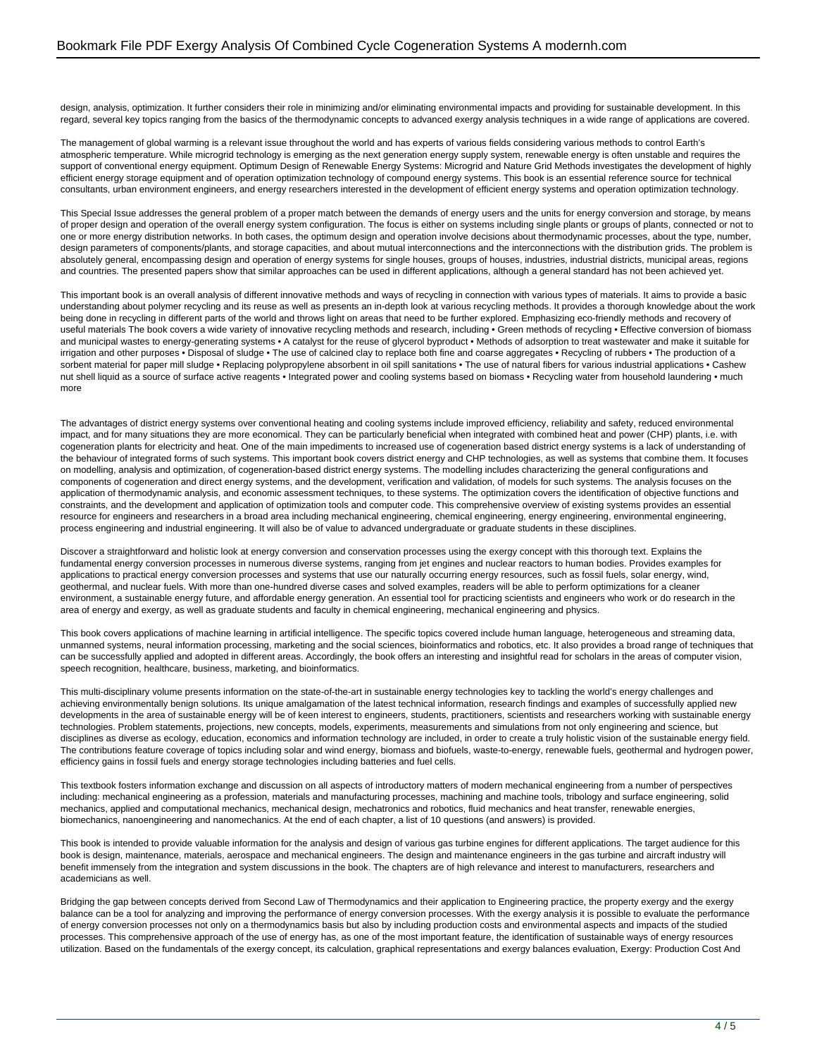design, analysis, optimization. It further considers their role in minimizing and/or eliminating environmental impacts and providing for sustainable development. In this regard, several key topics ranging from the basics of the thermodynamic concepts to advanced exergy analysis techniques in a wide range of applications are covered.

The management of global warming is a relevant issue throughout the world and has experts of various fields considering various methods to control Earth's atmospheric temperature. While microgrid technology is emerging as the next generation energy supply system, renewable energy is often unstable and requires the support of conventional energy equipment. Optimum Design of Renewable Energy Systems: Microgrid and Nature Grid Methods investigates the development of highly efficient energy storage equipment and of operation optimization technology of compound energy systems. This book is an essential reference source for technical consultants, urban environment engineers, and energy researchers interested in the development of efficient energy systems and operation optimization technology.

This Special Issue addresses the general problem of a proper match between the demands of energy users and the units for energy conversion and storage, by means of proper design and operation of the overall energy system configuration. The focus is either on systems including single plants or groups of plants, connected or not to one or more energy distribution networks. In both cases, the optimum design and operation involve decisions about thermodynamic processes, about the type, number, design parameters of components/plants, and storage capacities, and about mutual interconnections and the interconnections with the distribution grids. The problem is absolutely general, encompassing design and operation of energy systems for single houses, groups of houses, industries, industrial districts, municipal areas, regions and countries. The presented papers show that similar approaches can be used in different applications, although a general standard has not been achieved yet.

This important book is an overall analysis of different innovative methods and ways of recycling in connection with various types of materials. It aims to provide a basic understanding about polymer recycling and its reuse as well as presents an in-depth look at various recycling methods. It provides a thorough knowledge about the work being done in recycling in different parts of the world and throws light on areas that need to be further explored. Emphasizing eco-friendly methods and recovery of useful materials The book covers a wide variety of innovative recycling methods and research, including · Green methods of recycling · Effective conversion of biomass and municipal wastes to energy-generating systems • A catalyst for the reuse of glycerol byproduct • Methods of adsorption to treat wastewater and make it suitable for irrigation and other purposes • Disposal of sludge • The use of calcined clay to replace both fine and coarse aggregates • Recycling of rubbers • The production of a sorbent material for paper mill sludge • Replacing polypropylene absorbent in oil spill sanitations • The use of natural fibers for various industrial applications • Cashew nut shell liquid as a source of surface active reagents • Integrated power and cooling systems based on biomass • Recycling water from household laundering • much more

The advantages of district energy systems over conventional heating and cooling systems include improved efficiency, reliability and safety, reduced environmental impact, and for many situations they are more economical. They can be particularly beneficial when integrated with combined heat and power (CHP) plants, i.e. with cogeneration plants for electricity and heat. One of the main impediments to increased use of cogeneration based district energy systems is a lack of understanding of the behaviour of integrated forms of such systems. This important book covers district energy and CHP technologies, as well as systems that combine them. It focuses on modelling, analysis and optimization, of cogeneration-based district energy systems. The modelling includes characterizing the general configurations and components of cogeneration and direct energy systems, and the development, verification and validation, of models for such systems. The analysis focuses on the application of thermodynamic analysis, and economic assessment techniques, to these systems. The optimization covers the identification of objective functions and constraints, and the development and application of optimization tools and computer code. This comprehensive overview of existing systems provides an essential resource for engineers and researchers in a broad area including mechanical engineering, chemical engineering, energy engineering, environmental engineering, process engineering and industrial engineering. It will also be of value to advanced undergraduate or graduate students in these disciplines.

Discover a straightforward and holistic look at energy conversion and conservation processes using the exergy concept with this thorough text. Explains the fundamental energy conversion processes in numerous diverse systems, ranging from jet engines and nuclear reactors to human bodies. Provides examples for applications to practical energy conversion processes and systems that use our naturally occurring energy resources, such as fossil fuels, solar energy, wind, geothermal, and nuclear fuels. With more than one-hundred diverse cases and solved examples, readers will be able to perform optimizations for a cleaner environment, a sustainable energy future, and affordable energy generation. An essential tool for practicing scientists and engineers who work or do research in the area of energy and exergy, as well as graduate students and faculty in chemical engineering, mechanical engineering and physics.

This book covers applications of machine learning in artificial intelligence. The specific topics covered include human language, heterogeneous and streaming data, unmanned systems, neural information processing, marketing and the social sciences, bioinformatics and robotics, etc. It also provides a broad range of techniques that can be successfully applied and adopted in different areas. Accordingly, the book offers an interesting and insightful read for scholars in the areas of computer vision, speech recognition, healthcare, business, marketing, and bioinformatics.

This multi-disciplinary volume presents information on the state-of-the-art in sustainable energy technologies key to tackling the world's energy challenges and achieving environmentally benign solutions. Its unique amalgamation of the latest technical information, research findings and examples of successfully applied new developments in the area of sustainable energy will be of keen interest to engineers, students, practitioners, scientists and researchers working with sustainable energy technologies. Problem statements, projections, new concepts, models, experiments, measurements and simulations from not only engineering and science, but disciplines as diverse as ecology, education, economics and information technology are included, in order to create a truly holistic vision of the sustainable energy field. The contributions feature coverage of topics including solar and wind energy, biomass and biofuels, waste-to-energy, renewable fuels, geothermal and hydrogen power, efficiency gains in fossil fuels and energy storage technologies including batteries and fuel cells.

This textbook fosters information exchange and discussion on all aspects of introductory matters of modern mechanical engineering from a number of perspectives including: mechanical engineering as a profession, materials and manufacturing processes, machining and machine tools, tribology and surface engineering, solid mechanics, applied and computational mechanics, mechanical design, mechatronics and robotics, fluid mechanics and heat transfer, renewable energies, biomechanics, nanoengineering and nanomechanics. At the end of each chapter, a list of 10 questions (and answers) is provided.

This book is intended to provide valuable information for the analysis and design of various gas turbine engines for different applications. The target audience for this book is design, maintenance, materials, aerospace and mechanical engineers. The design and maintenance engineers in the gas turbine and aircraft industry will benefit immensely from the integration and system discussions in the book. The chapters are of high relevance and interest to manufacturers, researchers and academicians as well.

Bridging the gap between concepts derived from Second Law of Thermodynamics and their application to Engineering practice, the property exergy and the exergy balance can be a tool for analyzing and improving the performance of energy conversion processes. With the exergy analysis it is possible to evaluate the performance of energy conversion processes not only on a thermodynamics basis but also by including production costs and environmental aspects and impacts of the studied processes. This comprehensive approach of the use of energy has, as one of the most important feature, the identification of sustainable ways of energy resources utilization. Based on the fundamentals of the exergy concept, its calculation, graphical representations and exergy balances evaluation, Exergy: Production Cost And